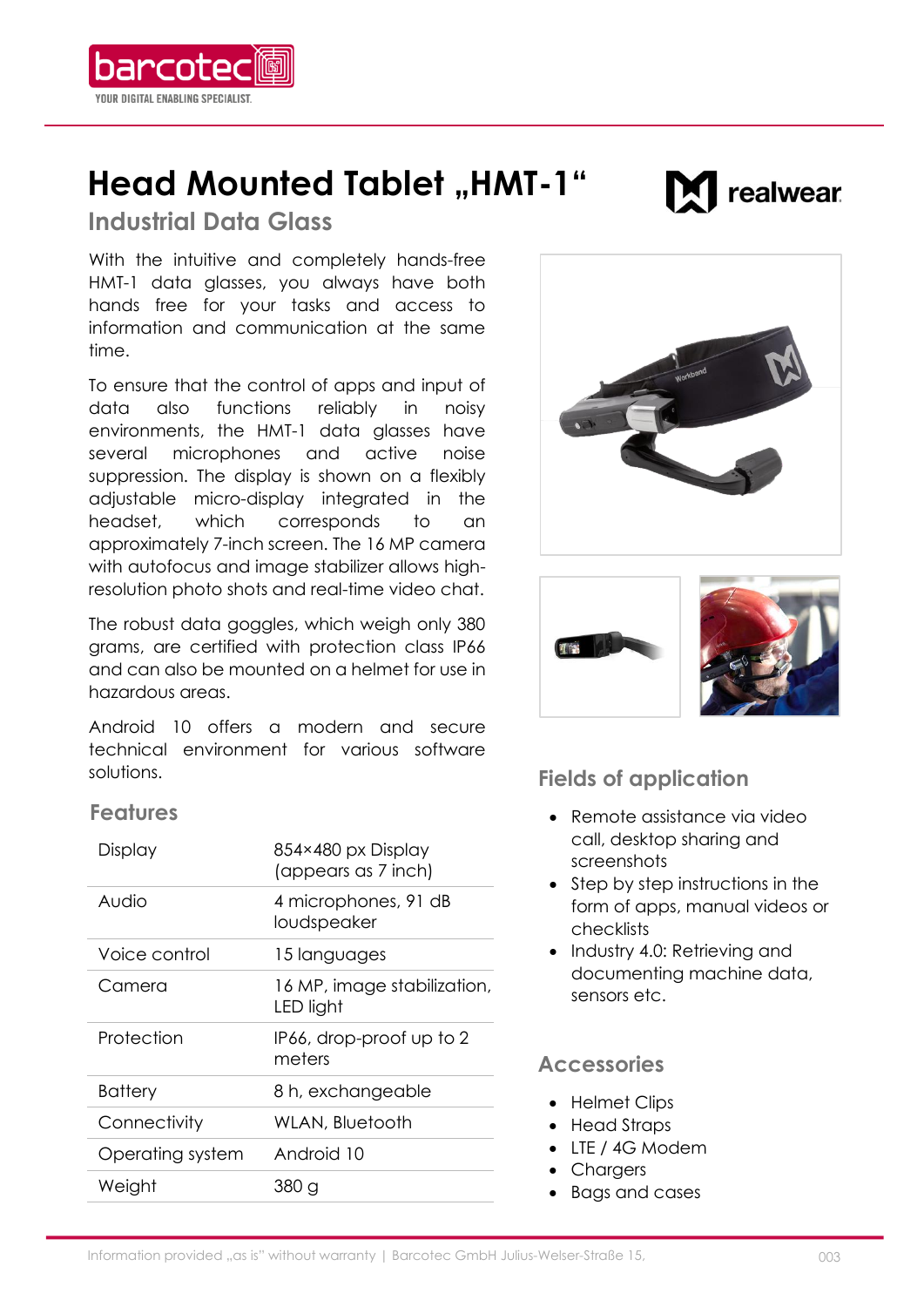

# **Head Mounted Tablet "HMT-1"**

realwear

# **Industrial Data Glass**

**With the intuitive and completely hands-free HMT-1 data glasses, you always have both hands free for your tasks and access to information and communication at the same time.**

**To ensure that the control of apps and input of data also functions reliably in noisy environments, the HMT-1 data glasses have several microphones and active noise suppression. The display is shown on a flexibly adjustable micro-display integrated in the headset, which corresponds to an approximately 7-inch screen. The 16 MP camera with autofocus and image stabilizer allows highresolution photo shots and real-time video chat.**

**The robust data goggles, which weigh only 380 grams, are certified with protection class IP66 and can also be mounted on a helmet for use in hazardous areas.**

**Android 10 offers a modern and secure technical environment for various software solutions.**

### **Features**

| Display          | 854×480 px Display<br>(appears as 7 inch) |
|------------------|-------------------------------------------|
| Audio            | 4 microphones, 91 dB<br>loudspeaker       |
| Voice control    | 15 languages                              |
| Camera           | 16 MP, image stabilization,<br>LED light  |
| Protection       | IP66, drop-proof up to 2<br>meters        |
| <b>Battery</b>   | 8 h, exchangeable                         |
| Connectivity     | WLAN, Bluetooth                           |
| Operating system | Android 10                                |
| Weight           | 380 a                                     |





# **Fields of application**

- **Remote assistance via video call, desktop sharing and screenshots**
- **Step by step instructions in the form of apps, manual videos or checklists**
- **Industry 4.0: Retrieving and documenting machine data, sensors etc.**

## **Accessories**

- **Helmet Clips**
- **Head Straps**
- **LTE / 4G Modem**
- **Chargers**
- **Bags and cases**